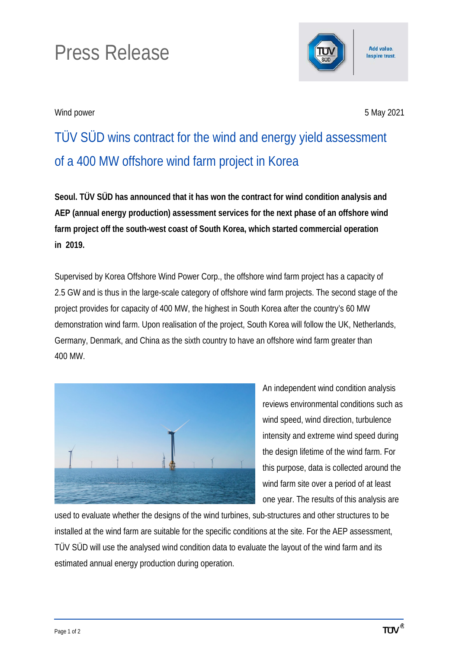## Press Release

Wind power 5 May 2021

Add value. **Inspire trust.** 

TÜV SÜD wins contract for the wind and energy yield assessment of a 400 MW offshore wind farm project in Korea

**Seoul. TÜV SÜD has announced that it has won the contract for wind condition analysis and AEP (annual energy production) assessment services for the next phase of an offshore wind farm project off the south-west coast of South Korea, which started commercial operation in 2019.** 

Supervised by Korea Offshore Wind Power Corp., the offshore wind farm project has a capacity of 2.5 GW and is thus in the large-scale category of offshore wind farm projects. The second stage of the project provides for capacity of 400 MW, the highest in South Korea after the country's 60 MW demonstration wind farm. Upon realisation of the project, South Korea will follow the UK, Netherlands, Germany, Denmark, and China as the sixth country to have an offshore wind farm greater than 400 MW.



An independent wind condition analysis reviews environmental conditions such as wind speed, wind direction, turbulence intensity and extreme wind speed during the design lifetime of the wind farm. For this purpose, data is collected around the wind farm site over a period of at least one year. The results of this analysis are

used to evaluate whether the designs of the wind turbines, sub-structures and other structures to be installed at the wind farm are suitable for the specific conditions at the site. For the AEP assessment, TÜV SÜD will use the analysed wind condition data to evaluate the layout of the wind farm and its estimated annual energy production during operation.